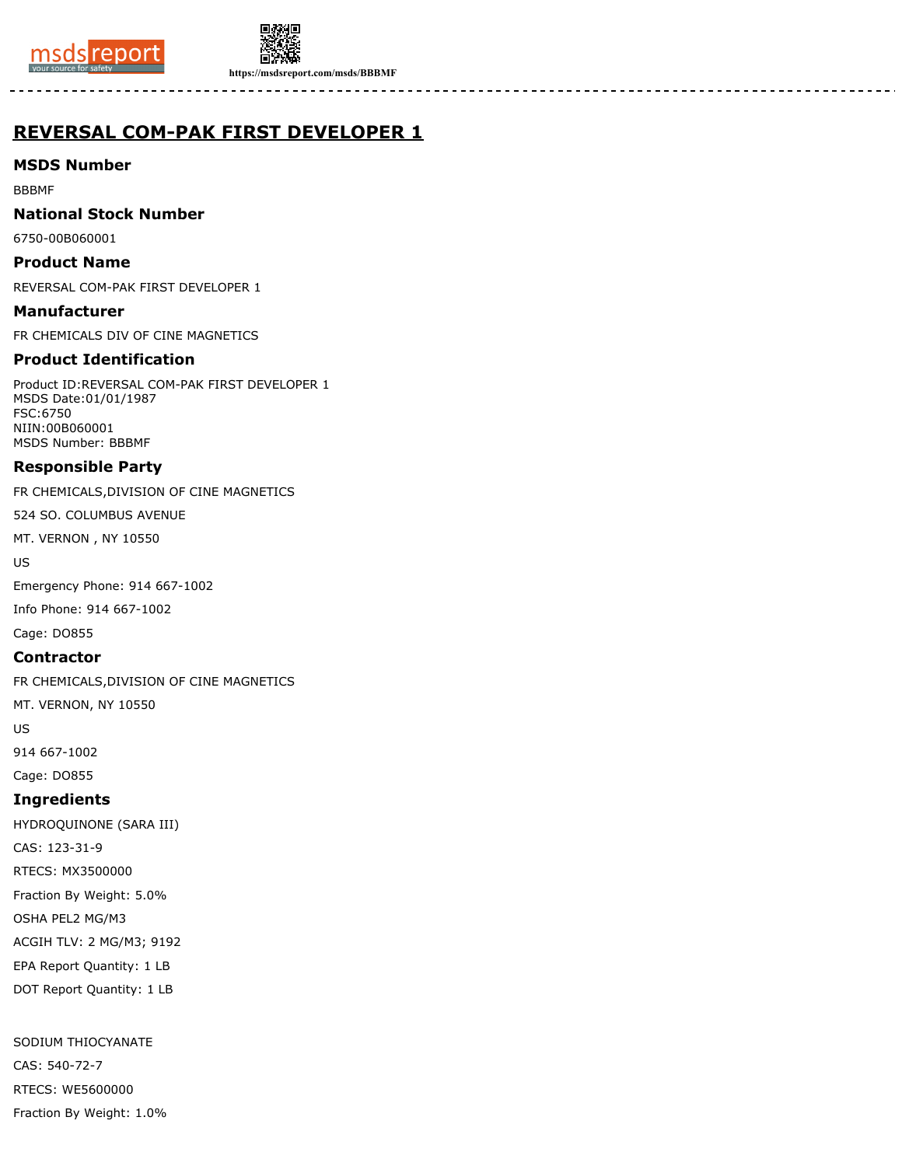



**https://msdsreport.com/msds/BBBMF**

# **REVERSAL COM-PAK FIRST DEVELOPER 1**

### **MSDS Number**

BBBMF

### **National Stock Number**

6750-00B060001

# **Product Name**

REVERSAL COM-PAK FIRST DEVELOPER 1

### **Manufacturer**

FR CHEMICALS DIV OF CINE MAGNETICS

# **Product Identification**

Product ID:REVERSAL COM-PAK FIRST DEVELOPER 1 MSDS Date:01/01/1987 FSC:6750 NIIN:00B060001 MSDS Number: BBBMF

# **Responsible Party**

FR CHEMICALS,DIVISION OF CINE MAGNETICS

524 SO. COLUMBUS AVENUE

MT. VERNON , NY 10550

US

Emergency Phone: 914 667-1002

Info Phone: 914 667-1002

Cage: DO855

# **Contractor**

FR CHEMICALS,DIVISION OF CINE MAGNETICS

MT. VERNON, NY 10550

US

914 667-1002

Cage: DO855

# **Ingredients**

HYDROQUINONE (SARA III) CAS: 123-31-9 RTECS: MX3500000 Fraction By Weight: 5.0% OSHA PEL2 MG/M3 ACGIH TLV: 2 MG/M3; 9192 EPA Report Quantity: 1 LB DOT Report Quantity: 1 LB

SODIUM THIOCYANATE CAS: 540-72-7 RTECS: WE5600000 Fraction By Weight: 1.0%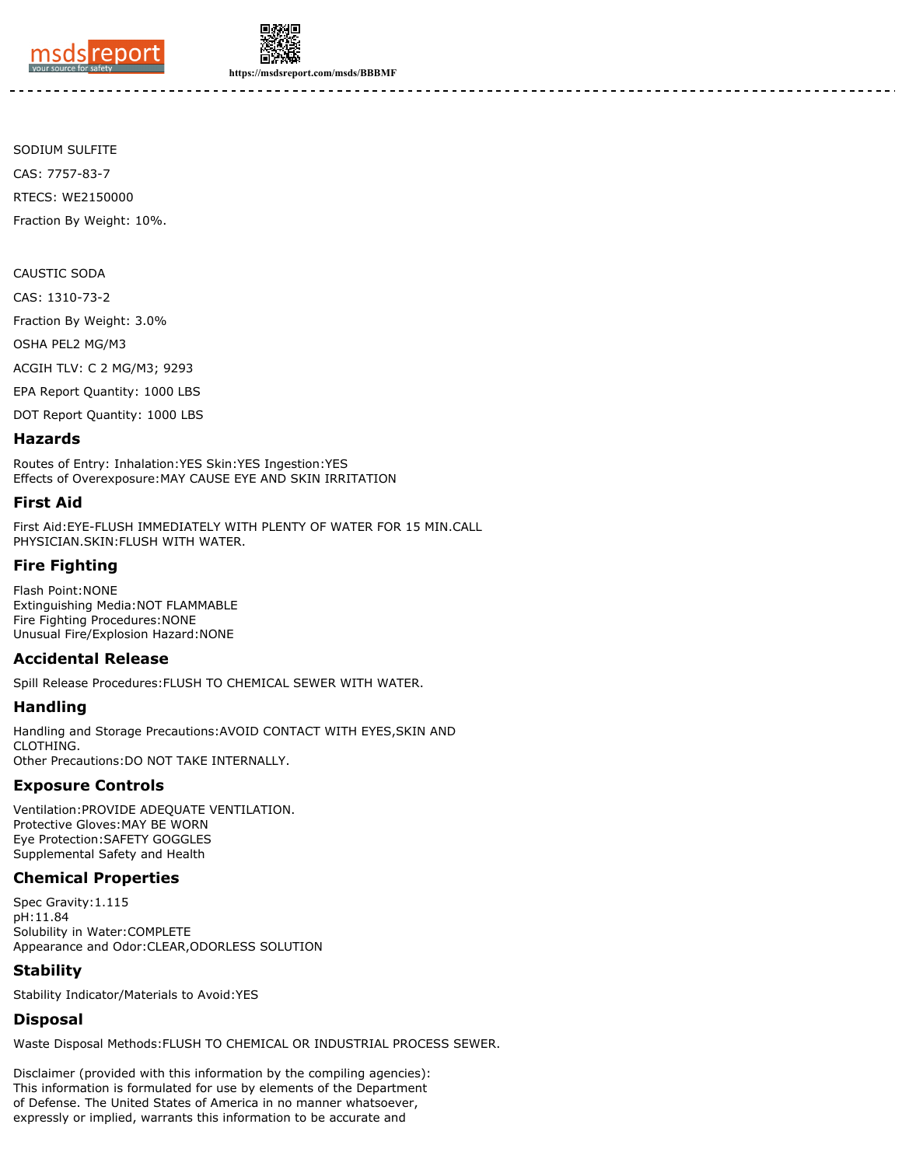



**https://msdsreport.com/msds/BBBMF**

SODIUM SULFITE CAS: 7757-83-7 RTECS: WE2150000 Fraction By Weight: 10%.

CAUSTIC SODA

CAS: 1310-73-2

Fraction By Weight: 3.0%

OSHA PEL2 MG/M3

ACGIH TLV: C 2 MG/M3; 9293

EPA Report Quantity: 1000 LBS

DOT Report Quantity: 1000 LBS

#### **Hazards**

Routes of Entry: Inhalation:YES Skin:YES Ingestion:YES Effects of Overexposure:MAY CAUSE EYE AND SKIN IRRITATION

#### **First Aid**

First Aid:EYE-FLUSH IMMEDIATELY WITH PLENTY OF WATER FOR 15 MIN.CALL PHYSICIAN.SKIN:FLUSH WITH WATER.

### **Fire Fighting**

Flash Point:NONE Extinguishing Media:NOT FLAMMABLE Fire Fighting Procedures:NONE Unusual Fire/Explosion Hazard:NONE

### **Accidental Release**

Spill Release Procedures:FLUSH TO CHEMICAL SEWER WITH WATER.

### **Handling**

Handling and Storage Precautions:AVOID CONTACT WITH EYES,SKIN AND CLOTHING. Other Precautions:DO NOT TAKE INTERNALLY.

# **Exposure Controls**

Ventilation:PROVIDE ADEQUATE VENTILATION. Protective Gloves:MAY BE WORN Eye Protection:SAFETY GOGGLES Supplemental Safety and Health

### **Chemical Properties**

Spec Gravity:1.115 pH:11.84 Solubility in Water:COMPLETE Appearance and Odor:CLEAR,ODORLESS SOLUTION

# **Stability**

Stability Indicator/Materials to Avoid:YES

### **Disposal**

Waste Disposal Methods:FLUSH TO CHEMICAL OR INDUSTRIAL PROCESS SEWER.

Disclaimer (provided with this information by the compiling agencies): This information is formulated for use by elements of the Department of Defense. The United States of America in no manner whatsoever, expressly or implied, warrants this information to be accurate and